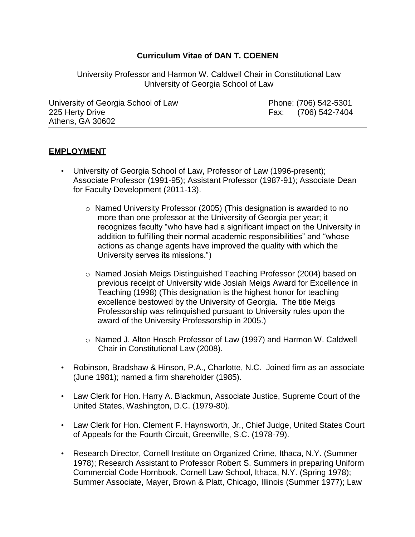# **Curriculum Vitae of DAN T. COENEN**

University Professor and Harmon W. Caldwell Chair in Constitutional Law University of Georgia School of Law

University of Georgia School of Law Phone: (706) 542-5301 225 Herty Drive Fax: (706) 542-7404 Athens, GA 30602

## **EMPLOYMENT**

- University of Georgia School of Law, Professor of Law (1996-present); Associate Professor (1991-95); Assistant Professor (1987-91); Associate Dean for Faculty Development (2011-13).
	- o Named University Professor (2005) (This designation is awarded to no more than one professor at the University of Georgia per year; it recognizes faculty "who have had a significant impact on the University in addition to fulfilling their normal academic responsibilities" and "whose actions as change agents have improved the quality with which the University serves its missions.")
	- o Named Josiah Meigs Distinguished Teaching Professor (2004) based on previous receipt of University wide Josiah Meigs Award for Excellence in Teaching (1998) (This designation is the highest honor for teaching excellence bestowed by the University of Georgia. The title Meigs Professorship was relinquished pursuant to University rules upon the award of the University Professorship in 2005.)
	- o Named J. Alton Hosch Professor of Law (1997) and Harmon W. Caldwell Chair in Constitutional Law (2008).
- Robinson, Bradshaw & Hinson, P.A., Charlotte, N.C. Joined firm as an associate (June 1981); named a firm shareholder (1985).
- Law Clerk for Hon. Harry A. Blackmun, Associate Justice, Supreme Court of the United States, Washington, D.C. (1979-80).
- Law Clerk for Hon. Clement F. Haynsworth, Jr., Chief Judge, United States Court of Appeals for the Fourth Circuit, Greenville, S.C. (1978-79).
- Research Director, Cornell Institute on Organized Crime, Ithaca, N.Y. (Summer 1978); Research Assistant to Professor Robert S. Summers in preparing Uniform Commercial Code Hornbook, Cornell Law School, Ithaca, N.Y. (Spring 1978); Summer Associate, Mayer, Brown & Platt, Chicago, Illinois (Summer 1977); Law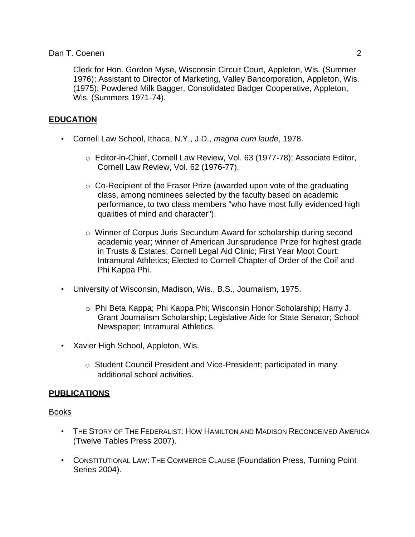Clerk for Hon. Gordon Myse, Wisconsin Circuit Court, Appleton, Wis. (Summer 1976); Assistant to Director of Marketing, Valley Bancorporation, Appleton, Wis. (1975); Powdered Milk Bagger, Consolidated Badger Cooperative, Appleton, Wis. (Summers 1971-74).

# **EDUCATION**

- Cornell Law School, Ithaca, N.Y., J.D., *magna cum laude*, 1978.
	- o Editor-in-Chief, Cornell Law Review, Vol. 63 (1977-78); Associate Editor, Cornell Law Review, Vol. 62 (1976-77).
	- $\circ$  Co-Recipient of the Fraser Prize (awarded upon vote of the graduating class, among nominees selected by the faculty based on academic performance, to two class members "who have most fully evidenced high qualities of mind and character").
	- o Winner of Corpus Juris Secundum Award for scholarship during second academic year; winner of American Jurisprudence Prize for highest grade in Trusts & Estates; Cornell Legal Aid Clinic; First Year Moot Court; Intramural Athletics; Elected to Cornell Chapter of Order of the Coif and Phi Kappa Phi.
- University of Wisconsin, Madison, Wis., B.S., Journalism, 1975.
	- o Phi Beta Kappa; Phi Kappa Phi; Wisconsin Honor Scholarship; Harry J. Grant Journalism Scholarship; Legislative Aide for State Senator; School Newspaper; Intramural Athletics.
- Xavier High School, Appleton, Wis.
	- o Student Council President and Vice-President; participated in many additional school activities.

## **PUBLICATIONS**

#### Books

- THE STORY OF THE FEDERALIST: HOW HAMILTON AND MADISON RECONCEIVED AMERICA (Twelve Tables Press 2007).
- CONSTITUTIONAL LAW: THE COMMERCE CLAUSE (Foundation Press, Turning Point Series 2004).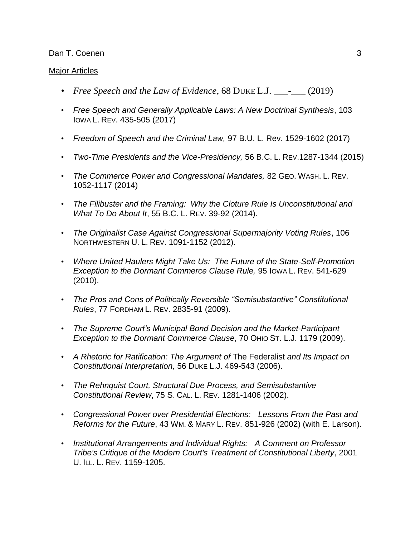### Major Articles

- *Free Speech and the Law of Evidence*, 68 DUKE L.J. \_\_\_-\_\_\_ (2019)
- *Free Speech and Generally Applicable Laws: A New Doctrinal Synthesis*, 103 IOWA L. REV. 435-505 (2017)
- *Freedom of Speech and the Criminal Law,* 97 B.U. L. Rev. 1529-1602 (2017)
- *Two-Time Presidents and the Vice-Presidency,* 56 B.C. L. REV.1287-1344 (2015)
- *The Commerce Power and Congressional Mandates,* 82 GEO. WASH. L. REV. 1052-1117 (2014)
- *The Filibuster and the Framing: Why the Cloture Rule Is Unconstitutional and What To Do About It*, 55 B.C. L. REV. 39-92 (2014).
- *The Originalist Case Against Congressional Supermajority Voting Rules*, 106 NORTHWESTERN U. L. REV. 1091-1152 (2012).
- *Where United Haulers Might Take Us: The Future of the State-Self-Promotion Exception to the Dormant Commerce Clause Rule,* 95 IOWA L. REV. 541-629 (2010).
- *The Pros and Cons of Politically Reversible "Semisubstantive" Constitutional Rules*, 77 FORDHAM L. REV. 2835-91 (2009).
- *The Supreme Court's Municipal Bond Decision and the Market-Participant Exception to the Dormant Commerce Clause*, 70 OHIO ST. L.J. 1179 (2009).
- *A Rhetoric for Ratification: The Argument of* The Federalist *and Its Impact on Constitutional Interpretation,* 56 DUKE L.J. 469-543 (2006).
- *The Rehnquist Court, Structural Due Process, and Semisubstantive Constitutional Review*, 75 S. CAL. L. REV. 1281-1406 (2002).
- *Congressional Power over Presidential Elections: Lessons From the Past and Reforms for the Future*, 43 WM. & MARY L. REV. 851-926 (2002) (with E. Larson).
- *Institutional Arrangements and Individual Rights: A Comment on Professor Tribe's Critique of the Modern Court's Treatment of Constitutional Liberty*, 2001 U. ILL. L. REV. 1159-1205.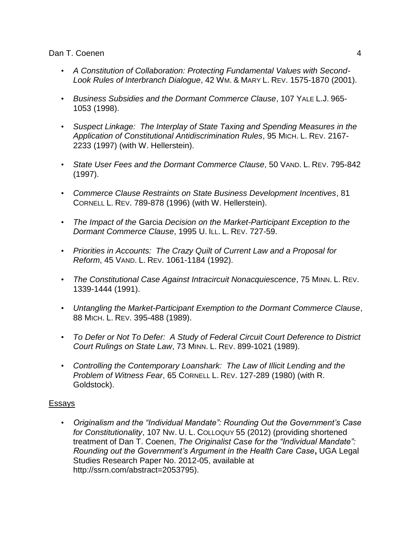- *A Constitution of Collaboration: Protecting Fundamental Values with Second-Look Rules of Interbranch Dialogue*, 42 WM. & MARY L. REV. 1575-1870 (2001).
- *Business Subsidies and the Dormant Commerce Clause*, 107 YALE L.J. 965- 1053 (1998).
- *Suspect Linkage: The Interplay of State Taxing and Spending Measures in the Application of Constitutional Antidiscrimination Rules*, 95 MICH. L. REV. 2167- 2233 (1997) (with W. Hellerstein).
- *State User Fees and the Dormant Commerce Clause*, 50 VAND. L. REV. 795-842 (1997).
- *Commerce Clause Restraints on State Business Development Incentives*, 81 CORNELL L. REV. 789-878 (1996) (with W. Hellerstein).
- *The Impact of the* Garcia *Decision on the Market-Participant Exception to the Dormant Commerce Clause*, 1995 U. ILL. L. REV. 727-59.
- *Priorities in Accounts: The Crazy Quilt of Current Law and a Proposal for Reform*, 45 VAND. L. REV. 1061-1184 (1992).
- *The Constitutional Case Against Intracircuit Nonacquiescence*, 75 MINN. L. REV. 1339-1444 (1991).
- *Untangling the Market-Participant Exemption to the Dormant Commerce Clause*, 88 MICH. L. REV. 395-488 (1989).
- *To Defer or Not To Defer: A Study of Federal Circuit Court Deference to District Court Rulings on State Law*, 73 MINN. L. REV. 899-1021 (1989).
- *Controlling the Contemporary Loanshark: The Law of Illicit Lending and the Problem of Witness Fear*, 65 CORNELL L. REV. 127-289 (1980) (with R. Goldstock).

## Essays

• *Originalism and the "Individual Mandate": Rounding Out the Government's Case for Constitutionality*, 107 NW. U. L. COLLOQUY 55 (2012) (providing shortened treatment of Dan T. Coenen, *The Originalist Case for the "Individual Mandate": Rounding out the Government's Argument in the Health Care Case***,** UGA Legal Studies Research Paper No. 2012-05, available a[t](http://ssrn.com/abstract%3D2053795)) [http://ssrn.com/abstract=2053795\).](http://ssrn.com/abstract%3D2053795))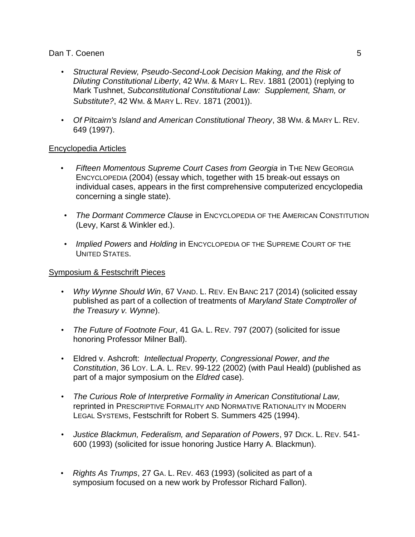- *Structural Review, Pseudo-Second-Look Decision Making, and the Risk of Diluting Constitutional Liberty*, 42 WM. & MARY L. REV. 1881 (2001) (replying to Mark Tushnet, *Subconstitutional Constitutional Law: Supplement, Sham, or Substitute?*, 42 WM. & MARY L. REV. 1871 (2001)).
- *Of Pitcairn's Island and American Constitutional Theory*, 38 WM. & MARY L. REV. 649 (1997).

# Encyclopedia Articles

- *Fifteen Momentous Supreme Court Cases from Georgia* **in THE NEW GEORGIA** ENCYCLOPEDIA (2004) (essay which, together with 15 break-out essays on individual cases, appears in the first comprehensive computerized encyclopedia concerning a single state).
- *The Dormant Commerce Clause* in ENCYCLOPEDIA OF THE AMERICAN CONSTITUTION (Levy, Karst & Winkler ed.).
- *Implied Powers* and *Holding* in ENCYCLOPEDIA OF THE SUPREME COURT OF THE UNITED STATES.

# Symposium & Festschrift Pieces

- *Why Wynne Should Win*, 67 VAND. L. REV. EN BANC 217 (2014) (solicited essay published as part of a collection of treatments of *Maryland State Comptroller of the Treasury v. Wynne*).
- *The Future of Footnote Four*, 41 GA. L. REV. 797 (2007) (solicited for issue honoring Professor Milner Ball).
- Eldred v. Ashcroft: *Intellectual Property, Congressional Power, and the Constitution*, 36 LOY. L.A. L. REV. 99-122 (2002) (with Paul Heald) (published as part of a major symposium on the *Eldred* case).
- *The Curious Role of Interpretive Formality in American Constitutional Law,*  reprinted in PRESCRIPTIVE FORMALITY AND NORMATIVE RATIONALITY IN MODERN LEGAL SYSTEMS, Festschrift for Robert S. Summers 425 (1994).
- *Justice Blackmun, Federalism, and Separation of Powers*, 97 DICK. L. REV. 541- 600 (1993) (solicited for issue honoring Justice Harry A. Blackmun).
- *Rights As Trumps*, 27 GA. L. REV. 463 (1993) (solicited as part of a symposium focused on a new work by Professor Richard Fallon).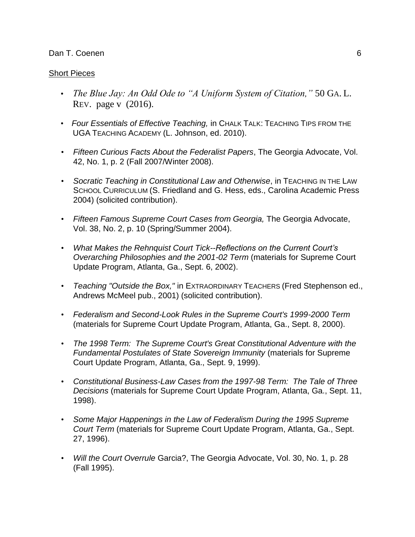#### Short Pieces

- *The Blue Jay: An Odd Ode to "A Uniform System of Citation,"* 50 GA. L. REV. page v (2016).
- *Four Essentials of Effective Teaching,* in CHALK TALK: TEACHING TIPS FROM THE UGA TEACHING ACADEMY (L. Johnson, ed. 2010).
- *Fifteen Curious Facts About the Federalist Papers*, The Georgia Advocate, Vol. 42, No. 1, p. 2 (Fall 2007/Winter 2008).
- Socratic Teaching in Constitutional Law and Otherwise, in TEACHING IN THE LAW SCHOOL CURRICULUM (S. Friedland and G. Hess, eds., Carolina Academic Press 2004) (solicited contribution).
- *Fifteen Famous Supreme Court Cases from Georgia,* The Georgia Advocate, Vol. 38, No. 2, p. 10 (Spring/Summer 2004).
- *What Makes the Rehnquist Court Tick--Reflections on the Current Court's Overarching Philosophies and the 2001-02 Term* (materials for Supreme Court Update Program, Atlanta, Ga., Sept. 6, 2002).
- *Teaching "Outside the Box,"* in EXTRAORDINARY TEACHERS (Fred Stephenson ed., Andrews McMeel pub., 2001) (solicited contribution).
- *Federalism and Second-Look Rules in the Supreme Court's 1999-2000 Term* (materials for Supreme Court Update Program, Atlanta, Ga., Sept. 8, 2000).
- *The 1998 Term: The Supreme Court's Great Constitutional Adventure with the Fundamental Postulates of State Sovereign Immunity* (materials for Supreme Court Update Program, Atlanta, Ga., Sept. 9, 1999).
- *Constitutional Business-Law Cases from the 1997-98 Term: The Tale of Three Decisions* (materials for Supreme Court Update Program, Atlanta, Ga., Sept. 11, 1998).
- *Some Major Happenings in the Law of Federalism During the 1995 Supreme Court Term* (materials for Supreme Court Update Program, Atlanta, Ga., Sept. 27, 1996).
- *Will the Court Overrule* Garcia?, The Georgia Advocate, Vol. 30, No. 1, p. 28 (Fall 1995).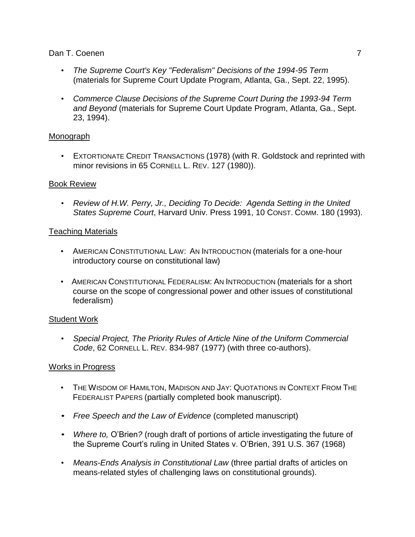- *The Supreme Court's Key "Federalism" Decisions of the 1994-95 Term* (materials for Supreme Court Update Program, Atlanta, Ga., Sept. 22, 1995).
- *Commerce Clause Decisions of the Supreme Court During the 1993-94 Term and Beyond* (materials for Supreme Court Update Program, Atlanta, Ga., Sept. 23, 1994).

# Monograph

• EXTORTIONATE CREDIT TRANSACTIONS (1978) (with R. Goldstock and reprinted with minor revisions in 65 CORNELL L. REV. 127 (1980)).

# Book Review

• *Review of H.W. Perry, Jr., Deciding To Decide: Agenda Setting in the United States Supreme Court*, Harvard Univ. Press 1991, 10 CONST. COMM. 180 (1993).

# Teaching Materials

- AMERICAN CONSTITUTIONAL LAW: AN INTRODUCTION (materials for a one-hour introductory course on constitutional law)
- AMERICAN CONSTITUTIONAL FEDERALISM: AN INTRODUCTION (materials for a short course on the scope of congressional power and other issues of constitutional federalism)

# Student Work

• *Special Project, The Priority Rules of Article Nine of the Uniform Commercial Code*, 62 CORNELL L. REV. 834-987 (1977) (with three co-authors).

# Works in Progress

- THE WISDOM OF HAMILTON, MADISON AND JAY: QUOTATIONS IN CONTEXT FROM THE FEDERALIST PAPERS (partially completed book manuscript).
- *Free Speech and the Law of Evidence* (completed manuscript)
- *Where to,* O'Brien*?* (rough draft of portions of article investigating the future of the Supreme Court's ruling in United States v. O'Brien, 391 U.S. 367 (1968)
- *Means-Ends Analysis in Constitutional Law* (three partial drafts of articles on means-related styles of challenging laws on constitutional grounds).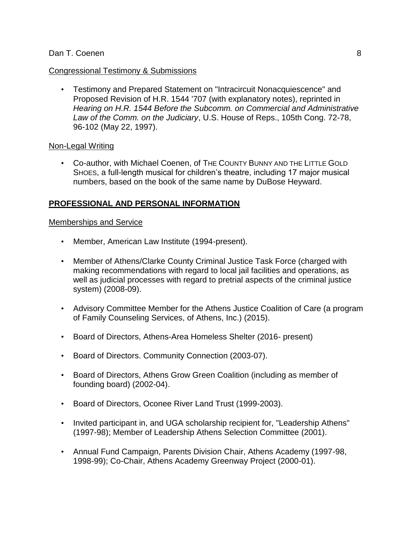### Congressional Testimony & Submissions

• Testimony and Prepared Statement on "Intracircuit Nonacquiescence" and Proposed Revision of H.R. 1544 '707 (with explanatory notes), reprinted in *Hearing on H.R. 1544 Before the Subcomm. on Commercial and Administrative Law of the Comm. on the Judiciary*, U.S. House of Reps., 105th Cong. 72-78, 96-102 (May 22, 1997).

## Non-Legal Writing

• Co-author, with Michael Coenen, of THE COUNTY BUNNY AND THE LITTLE GOLD SHOES, a full-length musical for children's theatre, including 17 major musical numbers, based on the book of the same name by DuBose Heyward.

## **PROFESSIONAL AND PERSONAL INFORMATION**

#### Memberships and Service

- Member, American Law Institute (1994-present).
- Member of Athens/Clarke County Criminal Justice Task Force (charged with making recommendations with regard to local jail facilities and operations, as well as judicial processes with regard to pretrial aspects of the criminal justice system) (2008-09).
- Advisory Committee Member for the Athens Justice Coalition of Care (a program of Family Counseling Services, of Athens, Inc.) (2015).
- Board of Directors, Athens-Area Homeless Shelter (2016- present)
- Board of Directors. Community Connection (2003-07).
- Board of Directors, Athens Grow Green Coalition (including as member of founding board) (2002-04).
- Board of Directors, Oconee River Land Trust (1999-2003).
- Invited participant in, and UGA scholarship recipient for, "Leadership Athens" (1997-98); Member of Leadership Athens Selection Committee (2001).
- Annual Fund Campaign, Parents Division Chair, Athens Academy (1997-98, 1998-99); Co-Chair, Athens Academy Greenway Project (2000-01).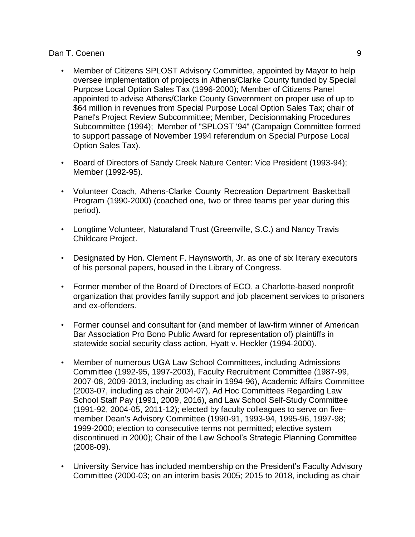- Member of Citizens SPLOST Advisory Committee, appointed by Mayor to help oversee implementation of projects in Athens/Clarke County funded by Special Purpose Local Option Sales Tax (1996-2000); Member of Citizens Panel appointed to advise Athens/Clarke County Government on proper use of up to \$64 million in revenues from Special Purpose Local Option Sales Tax; chair of Panel's Project Review Subcommittee; Member, Decisionmaking Procedures Subcommittee (1994); Member of "SPLOST '94" (Campaign Committee formed to support passage of November 1994 referendum on Special Purpose Local Option Sales Tax).
- Board of Directors of Sandy Creek Nature Center: Vice President (1993-94); Member (1992-95).
- Volunteer Coach, Athens-Clarke County Recreation Department Basketball Program (1990-2000) (coached one, two or three teams per year during this period).
- Longtime Volunteer, Naturaland Trust (Greenville, S.C.) and Nancy Travis Childcare Project.
- Designated by Hon. Clement F. Haynsworth, Jr. as one of six literary executors of his personal papers, housed in the Library of Congress.
- Former member of the Board of Directors of ECO, a Charlotte-based nonprofit organization that provides family support and job placement services to prisoners and ex-offenders.
- Former counsel and consultant for (and member of law-firm winner of American Bar Association Pro Bono Public Award for representation of) plaintiffs in statewide social security class action, Hyatt v. Heckler (1994-2000).
- Member of numerous UGA Law School Committees, including Admissions Committee (1992-95, 1997-2003), Faculty Recruitment Committee (1987-99, 2007-08, 2009-2013, including as chair in 1994-96), Academic Affairs Committee (2003-07, including as chair 2004-07), Ad Hoc Committees Regarding Law School Staff Pay (1991, 2009, 2016), and Law School Self-Study Committee (1991-92, 2004-05, 2011-12); elected by faculty colleagues to serve on fivemember Dean's Advisory Committee (1990-91, 1993-94, 1995-96, 1997-98; 1999-2000; election to consecutive terms not permitted; elective system discontinued in 2000); Chair of the Law School's Strategic Planning Committee (2008-09).
- University Service has included membership on the President's Faculty Advisory Committee (2000-03; on an interim basis 2005; 2015 to 2018, including as chair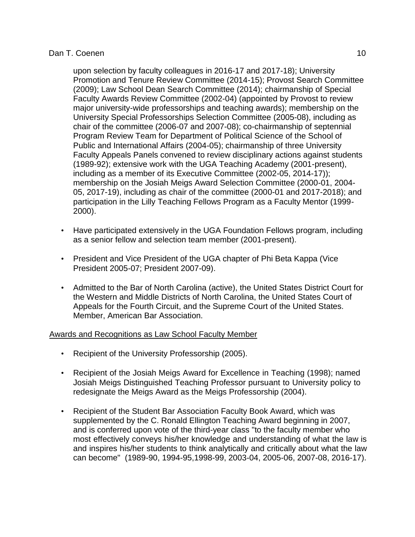### Dan T. Coenen 10 and the control of the control of the control of the control of the control of the control of the control of the control of the control of the control of the control of the control of the control of the co

upon selection by faculty colleagues in 2016-17 and 2017-18); University Promotion and Tenure Review Committee (2014-15); Provost Search Committee (2009); Law School Dean Search Committee (2014); chairmanship of Special Faculty Awards Review Committee (2002-04) (appointed by Provost to review major university-wide professorships and teaching awards); membership on the University Special Professorships Selection Committee (2005-08), including as chair of the committee (2006-07 and 2007-08); co-chairmanship of septennial Program Review Team for Department of Political Science of the School of Public and International Affairs (2004-05); chairmanship of three University Faculty Appeals Panels convened to review disciplinary actions against students (1989-92); extensive work with the UGA Teaching Academy (2001-present), including as a member of its Executive Committee (2002-05, 2014-17)); membership on the Josiah Meigs Award Selection Committee (2000-01, 2004- 05, 2017-19), including as chair of the committee (2000-01 and 2017-2018); and participation in the Lilly Teaching Fellows Program as a Faculty Mentor (1999- 2000).

- Have participated extensively in the UGA Foundation Fellows program, including as a senior fellow and selection team member (2001-present).
- President and Vice President of the UGA chapter of Phi Beta Kappa (Vice President 2005-07; President 2007-09).
- Admitted to the Bar of North Carolina (active), the United States District Court for the Western and Middle Districts of North Carolina, the United States Court of Appeals for the Fourth Circuit, and the Supreme Court of the United States. Member, American Bar Association.

## Awards and Recognitions as Law School Faculty Member

- Recipient of the University Professorship (2005).
- Recipient of the Josiah Meigs Award for Excellence in Teaching (1998); named Josiah Meigs Distinguished Teaching Professor pursuant to University policy to redesignate the Meigs Award as the Meigs Professorship (2004).
- Recipient of the Student Bar Association Faculty Book Award, which was supplemented by the C. Ronald Ellington Teaching Award beginning in 2007, and is conferred upon vote of the third-year class "to the faculty member who most effectively conveys his/her knowledge and understanding of what the law is and inspires his/her students to think analytically and critically about what the law can become" (1989-90, 1994-95,1998-99, 2003-04, 2005-06, 2007-08, 2016-17).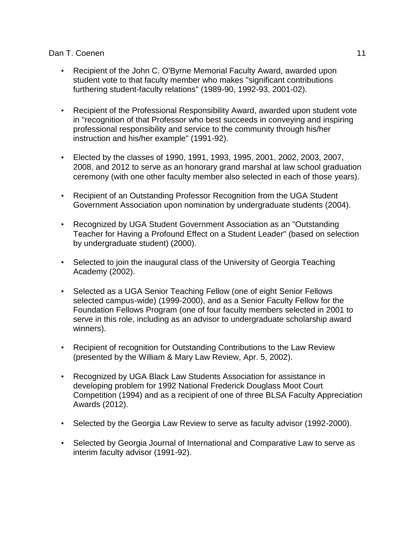- Recipient of the John C. O'Byrne Memorial Faculty Award, awarded upon student vote to that faculty member who makes "significant contributions furthering student-faculty relations" (1989-90, 1992-93, 2001-02).
- Recipient of the Professional Responsibility Award, awarded upon student vote in "recognition of that Professor who best succeeds in conveying and inspiring professional responsibility and service to the community through his/her instruction and his/her example" (1991-92).
- Elected by the classes of 1990, 1991, 1993, 1995, 2001, 2002, 2003, 2007, 2008, and 2012 to serve as an honorary grand marshal at law school graduation ceremony (with one other faculty member also selected in each of those years).
- Recipient of an Outstanding Professor Recognition from the UGA Student Government Association upon nomination by undergraduate students (2004).
- Recognized by UGA Student Government Association as an "Outstanding Teacher for Having a Profound Effect on a Student Leader" (based on selection by undergraduate student) (2000).
- Selected to join the inaugural class of the University of Georgia Teaching Academy (2002).
- Selected as a UGA Senior Teaching Fellow (one of eight Senior Fellows selected campus-wide) (1999-2000), and as a Senior Faculty Fellow for the Foundation Fellows Program (one of four faculty members selected in 2001 to serve in this role, including as an advisor to undergraduate scholarship award winners).
- Recipient of recognition for Outstanding Contributions to the Law Review (presented by the William & Mary Law Review, Apr. 5, 2002).
- Recognized by UGA Black Law Students Association for assistance in developing problem for 1992 National Frederick Douglass Moot Court Competition (1994) and as a recipient of one of three BLSA Faculty Appreciation Awards (2012).
- Selected by the Georgia Law Review to serve as faculty advisor (1992-2000).
- Selected by Georgia Journal of International and Comparative Law to serve as interim faculty advisor (1991-92).